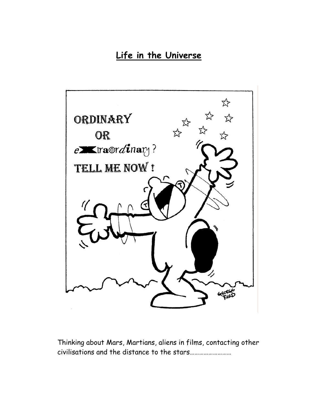# **Life in the Universe**



Thinking about Mars, Martians, aliens in films, contacting other civilisations and the distance to the stars………………………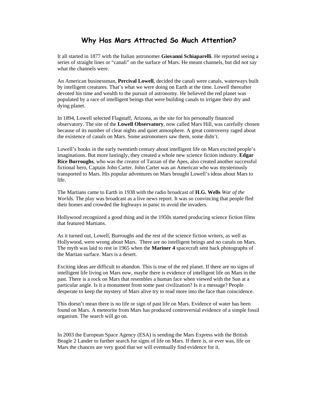#### **Why Has Mars Attracted So Much Attention?**

It all started in 1877 with the Italian astronomer **Giovanni Schiaparelli**. He reported seeing a series of straight lines or "canali" on the surface of Mars. He meant channels, but did not say what the channels were.

An American businessman, **Percival Lowell**, decided the canali were canals, waterways built by intelligent creatures. That's what we were doing on Earth at the time. Lowell thereafter devoted his time and wealth to the pursuit of astronomy. He believed the red planet was populated by a race of intelligent beings that were building canals to irrigate their dry and dying planet.

In 1894, Lowell selected Flagstaff, Arizona, as the site for his personally financed observatory. The site of the **Lowell Observatory**, now called Mars Hill, was carefully chosen because of its number of clear nights and quiet atmosphere. A great controversy raged about the existence of canals on Mars. Some astronomers saw them, some didn't.

Lowell's books in the early twentieth century about intelligent life on Mars excited people's imaginations. But more lastingly, they created a whole new science fiction industry. **Edgar Rice Burroughs**, who was the creator of Tarzan of the Apes, also created another successful fictional hero, Captain John Carter. John Carter was an American who was mysteriously transported to Mars. His popular adventures on Mars brought Lowell's ideas about Mars to life.

The Martians came to Earth in 1938 with the radio broadcast of **H.G. Wells** *War of the Worlds.* The play was broadcast as a live news report. It was so convincing that people fled their homes and crowded the highways in panic to avoid the invaders.

Hollywood recognized a good thing and in the 1950s started producing science fiction films that featured Martians.

As it turned out, Lowell, Burroughs and the rest of the science fiction writers, as well as Hollywood, were wrong about Mars. There are no intelligent beings and no canals on Mars. The myth was laid to rest in 1965 when the **Mariner 4** spacecraft sent back photographs of the Martian surface. Mars is a desert.

Exciting ideas are difficult to abandon. This is true of the red planet. If there are no signs of intelligent life living on Mars now, maybe there is evidence of intelligent life on Mars in the past. There is a rock on Mars that resembles a human face when viewed with the Sun at a particular angle. Is it a monument from some past civilization? Is it a message? People desperate to keep the mystery of Mars alive try to read more into the face than coincidence.

This doesn't mean there is no life or sign of past life on Mars. Evidence of water has been found on Mars. A meteorite from Mars has produced controversial evidence of a simple fossil organism. The search will go on.

In 2003 the European Space Agency (ESA) is sending the Mars Express with the British Beagle 2 Lander to further search for signs of life on Mars. If there is, or ever was, life on Mars the chances are very good that we will eventually find evidence for it.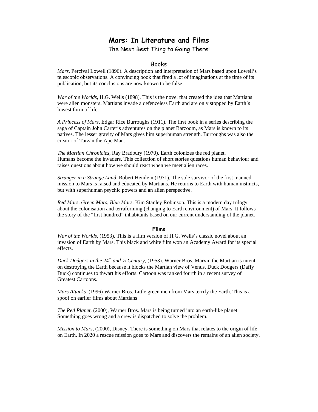# **Mars: In Literature and Films**

The Next Best Thing to Going There!

#### Books

*Mars*, Percival Lowell (1896). A description and interpretation of Mars based upon Lowell's telescopic observations. A convincing book that fired a lot of imaginations at the time of its publication, but its conclusions are now known to be false

*War of the Worlds*, H.G. Wells (1898). This is the novel that created the idea that Martians were alien monsters. Martians invade a defenceless Earth and are only stopped by Earth's lowest form of life.

*A Princess of Mars*, Edgar Rice Burroughs (1911). The first book in a series describing the saga of Captain John Carter's adventures on the planet Barzoom, as Mars is known to its natives. The lesser gravity of Mars gives him superhuman strength. Burroughs was also the creator of Tarzan the Ape Man.

*The Martian Chronicles*, Ray Bradbury (1970). Earth colonizes the red planet. Humans become the invaders. This collection of short stories questions human behaviour and raises questions about how we should react when we meet alien races.

*Stranger in a Strange Land*, Robert Heinlein (1971). The sole survivor of the first manned mission to Mars is raised and educated by Martians. He returns to Earth with human instincts, but with superhuman psychic powers and an alien perspective.

*Red Mars, Green Mars, Blue Mars*, Kim Stanley Robinson. This is a modern day trilogy about the colonisation and terraforming (changing to Earth environment) of Mars. It follows the story of the "first hundred" inhabitants based on our current understanding of the planet.

#### **Films**

*War of the Worlds,* (1953). This is a film version of H.G. Wells's classic novel about an invasion of Earth by Mars. This black and white film won an Academy Award for its special effects.

*Duck Dodgers in the*  $24<sup>th</sup>$  *and*  $\frac{1}{2}$  *Century,* (1953). Warner Bros. Marvin the Martian is intent on destroying the Earth because it blocks the Martian view of Venus. Duck Dodgers (Daffy Duck) continues to thwart his efforts. Cartoon was ranked fourth in a recent survey of Greatest Cartoons.

*Mars Attacks ,*(1996) Warner Bros. Little green men from Mars terrify the Earth. This is a spoof on earlier films about Martians

*The Red Planet,* (2000), Warner Bros. Mars is being turned into an earth-like planet. Something goes wrong and a crew is dispatched to solve the problem.

*Mission to Mars,* (2000), Disney. There is something on Mars that relates to the origin of life on Earth. In 2020 a rescue mission goes to Mars and discovers the remains of an alien society.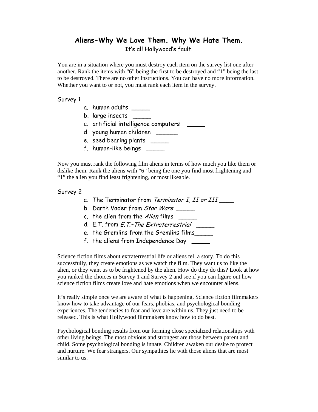# **Aliens-Why We Love Them. Why We Hate Them.**

It's all Hollywood's fault.

You are in a situation where you must destroy each item on the survey list one after another. Rank the items with "6" being the first to be destroyed and "1" being the last to be destroyed. There are no other instructions. You can have no more information. Whether you want to or not, you must rank each item in the survey.

#### Survey 1

- a. human adults \_\_\_\_\_
- b. large insects \_\_\_\_\_
- c. artificial intelligence computers \_\_\_\_\_
- d. young human children \_\_\_\_\_\_
- e. seed bearing plants \_\_\_\_\_
- f. human-like beings \_\_\_\_\_

Now you must rank the following film aliens in terms of how much you like them or dislike them. Rank the aliens with "6" being the one you find most frightening and "1" the alien you find least frightening, or most likeable.

#### Survey 2

- a. The Terminator from Terminator I, II or III
- b. Darth Vader from *Star Wars* \_\_\_\_\_\_
- c. the alien from the  $Alien$  films  $\frac{1}{\sqrt{1-\frac{1}{n}}}\left\vert \frac{1}{n}\right\rangle$
- d.  $E.T.$  from  $E.T.-The Extracter  $ext{real}$$
- e. the Gremlins from the Gremlins films\_\_\_\_\_
- f. the aliens from Independence Day \_\_\_\_\_

Science fiction films about extraterrestrial life or aliens tell a story. To do this successfully, they create emotions as we watch the film. They want us to like the alien, or they want us to be frightened by the alien. How do they do this? Look at how you ranked the choices in Survey 1 and Survey 2 and see if you can figure out how science fiction films create love and hate emotions when we encounter aliens.

It's really simple once we are aware of what is happening. Science fiction filmmakers know how to take advantage of our fears, phobias, and psychological bonding experiences. The tendencies to fear and love are within us. They just need to be released. This is what Hollywood filmmakers know how to do best.

Psychological bonding results from our forming close specialized relationships with other living beings. The most obvious and strongest are those between parent and child. Some psychological bonding is innate. Children awaken our desire to protect and nurture. We fear strangers. Our sympathies lie with those aliens that are most similar to us.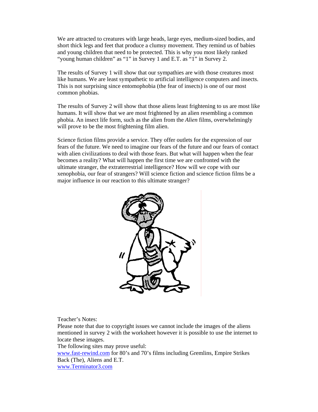We are attracted to creatures with large heads, large eyes, medium-sized bodies, and short thick legs and feet that produce a clumsy movement. They remind us of babies and young children that need to be protected. This is why you most likely ranked "young human children" as "1" in Survey 1 and E.T. as "1" in Survey 2.

The results of Survey 1 will show that our sympathies are with those creatures most like humans. We are least sympathetic to artificial intelligence computers and insects. This is not surprising since entomophobia (the fear of insects) is one of our most common phobias.

The results of Survey 2 will show that those aliens least frightening to us are most like humans. It will show that we are most frightened by an alien resembling a common phobia. An insect life form, such as the alien from the *Alien* films, overwhelmingly will prove to be the most frightening film alien.

Science fiction films provide a service. They offer outlets for the expression of our fears of the future. We need to imagine our fears of the future and our fears of contact with alien civilizations to deal with those fears. But what will happen when the fear becomes a reality? What will happen the first time we are confronted with the ultimate stranger, the extraterrestrial intelligence? How will we cope with our xenophobia, our fear of strangers? Will science fiction and science fiction films be a major influence in our reaction to this ultimate stranger?



Teacher's Notes:

Please note that due to copyright issues we cannot include the images of the aliens mentioned in survey 2 with the worksheet however it is possible to use the internet to locate these images.

The following sites may prove useful:

www.fast-rewind.com for 80's and 70's films including Gremlins, Empire Strikes Back (The), Aliens and E.T.

www.Terminator3.com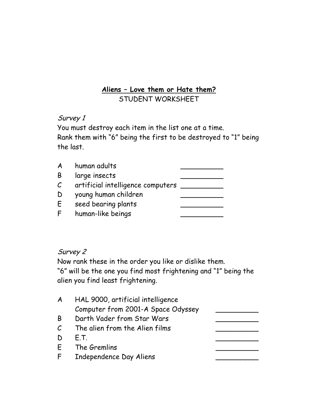## **Aliens – Love them or Hate them?** STUDENT WORKSHEET

## Survey 1

You must destroy each item in the list one at a time. Rank them with "6" being the first to be destroyed to "1" being the last.

| A            | human adults                      |  |
|--------------|-----------------------------------|--|
| Β            | large insects                     |  |
| $\mathcal C$ | artificial intelligence computers |  |
| D            | young human children              |  |
| E            | seed bearing plants               |  |
| F            | human-like beings                 |  |

# Survey 2

Now rank these in the order you like or dislike them.

"6" will be the one you find most frightening and "1" being the alien you find least frightening.

| A             | HAL 9000, artificial intelligence  |  |
|---------------|------------------------------------|--|
|               | Computer from 2001-A Space Odyssey |  |
| B             | Darth Vader from Star Wars         |  |
| $\mathcal{C}$ | The alien from the Alien films     |  |
| D             | F.T.                               |  |
| E.            | The Gremlins                       |  |
| F.            | Independence Day Aliens            |  |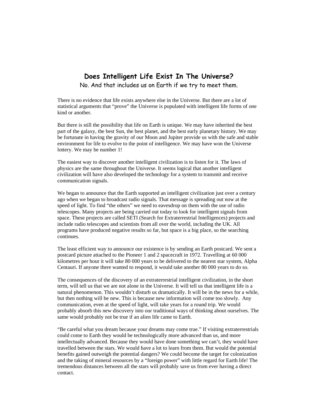# **Does Intelligent Life Exist In The Universe?**

No. And that includes us on Earth if we try to meet them.

There is no evidence that life exists anywhere else in the Universe. But there are a lot of statistical arguments that "prove" the Universe is populated with intelligent life forms of one kind or another.

But there is still the possibility that life on Earth is unique. We may have inherited the best part of the galaxy, the best Sun, the best planet, and the best early planetary history. We may be fortunate in having the gravity of our Moon and Jupiter provide us with the safe and stable environment for life to evolve to the point of intelligence. We may have won the Universe lottery. We may be number 1!

The easiest way to discover another intelligent civilization is to listen for it. The laws of physics are the same throughout the Universe. It seems logical that another intelligent civilization will have also developed the technology for a system to transmit and receive communication signals.

We began to announce that the Earth supported an intelligent civilization just over a century ago when we began to broadcast radio signals. That message is spreading out now at the speed of light. To find "the others" we need to eavesdrop on them with the use of radio telescopes. Many projects are being carried out today to look for intelligent signals from space. These projects are called SETI (Search for Extraterrestrial Intelligences) projects and include radio telescopes and scientists from all over the world, including the UK. All programs have produced negative results so far, but space is a big place, so the searching continues.

The least efficient way to announce our existence is by sending an Earth postcard. We sent a postcard picture attached to the Pioneer 1 and 2 spacecraft in 1972. Travelling at 60 000 kilometres per hour it will take 80 000 years to be delivered to the nearest star system, Alpha Centauri. If anyone there wanted to respond, it would take another 80 000 years to do so.

The consequences of the discovery of an extraterrestrial intelligent civilization, in the short term, will tell us that we are not alone in the Universe. It will tell us that intelligent life is a natural phenomenon. This wouldn't disturb us dramatically. It will be in the news for a while, but then nothing will be new. This is because new information will come too slowly. Any communication, even at the speed of light, will take years for a round trip. We would probably absorb this new discovery into our traditional ways of thinking about ourselves. The same would probably not be true if an alien life came to Earth.

"Be careful what you dream because your dreams may come true." If visiting extraterrestrials could come to Earth they would be technologically more advanced than us, and more intellectually advanced. Because they would have done something we can't, they would have travelled between the stars. We would have a lot to learn from them. But would the potential benefits gained outweigh the potential dangers? We could become the target for colonization and the taking of mineral resources by a "foreign power" with little regard for Earth life! The tremendous distances between all the stars will probably save us from ever having a direct contact.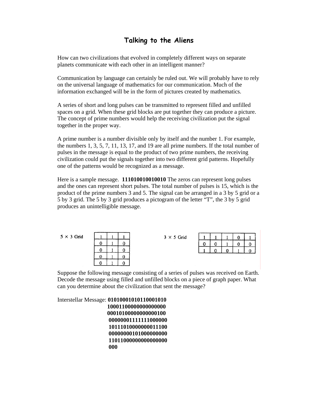### **Talking to the Aliens**

How can two civilizations that evolved in completely different ways on separate planets communicate with each other in an intelligent manner?

Communication by language can certainly be ruled out. We will probably have to rely on the universal language of mathematics for our communication. Much of the information exchanged will be in the form of pictures created by mathematics.

A series of short and long pulses can be transmitted to represent filled and unfilled spaces on a grid. When these grid blocks are put together they can produce a picture. The concept of prime numbers would help the receiving civilization put the signal together in the proper way.

A prime number is a number divisible only by itself and the number 1. For example, the numbers 1, 3, 5, 7, 11, 13, 17, and 19 are all prime numbers. If the total number of pulses in the message is equal to the product of two prime numbers, the receiving civilization could put the signals together into two different grid patterns. Hopefully one of the patterns would be recognized as a message.

Here is a sample message. **111010010010010** The zeros can represent long pulses and the ones can represent short pulses. The total number of pulses is 15, which is the product of the prime numbers 3 and 5. The signal can be arranged in a 3 by 5 grid or a 5 by 3 grid. The 5 by 3 grid produces a pictogram of the letter "T", the 3 by 5 grid produces an unintelligible message.

|  | $5 \times 3$ Grid |
|--|-------------------|
|  |                   |

| Q | J |  |
|---|---|--|
| O | U |  |
| U | 0 |  |
| U |   |  |

 $3 \times 5$  Grid

| J | H |   |   | L |
|---|---|---|---|---|
|   |   | Π | L |   |
|   |   |   |   |   |

Suppose the following message consisting of a series of pulses was received on Earth. Decode the message using filled and unfilled blocks on a piece of graph paper. What can you determine about the civilization that sent the message?

Interstellar Message: **01010001010110001010** 

 **10001100000000000000 00010100000000000100 00000001111111000000 10111010000000011100 00000000101000000000 11011000000000000000 000**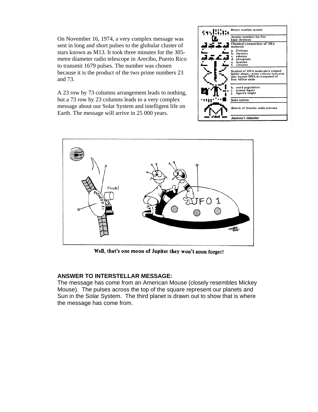On November 16, 1974, a very complex message was sent in long and short pulses to the globular cluster of stars known as M13. It took three minutes for the 305 metre diameter radio telescope in Arecibo, Puerto Rico to transmit 1679 pulses. The number was chosen because it is the product of the two prime numbers 23 and 73.

A 23 row by 73 columns arrangement leads to nothing, but a 73 row by 23 columns leads to a very complex message about our Solar System and intelligent life on Earth. The message will arrive in 25 000 years.





Well, that's one moon of Jupiter they won't soon forget!

#### **ANSWER TO INTERSTELLAR MESSAGE:**

The message has come from an American Mouse (closely resembles Mickey Mouse). The pulses across the top of the square represent our planets and Sun in the Solar System. The third planet is drawn out to show that is where the message has come from.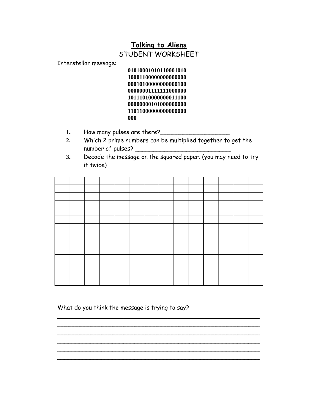### **Talking to Aliens**

### STUDENT WORKSHEET

Interstellar message:

 **01010001010110001010 10001100000000000000 00010100000000000100 00000001111111000000 10111010000000011100 00000000101000000000 11011000000000000000 000** 

- 1. How many pulses are there?
- **2.** Which 2 prime numbers can be multiplied together to get the number of pulses?
- **3.** Decode the message on the squared paper. (you may need to try it twice)

 $\overline{\phantom{a}}$  $\overline{\phantom{a}}$  $\overline{\phantom{a}}$  $\overline{\phantom{a}}$  $\overline{\phantom{a}}$  $\overline{\phantom{a}}$ 

What do you think the message is trying to say?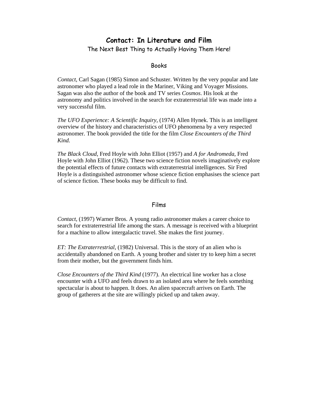### **Contact: In Literature and Film**

The Next Best Thing to Actually Having Them Here!

#### Books

*Contact*, Carl Sagan (1985) Simon and Schuster. Written by the very popular and late astronomer who played a lead role in the Mariner, Viking and Voyager Missions. Sagan was also the author of the book and TV series *Cosmos*. His look at the astronomy and politics involved in the search for extraterrestrial life was made into a very successful film.

*The UFO Experience: A Scientific Inquiry*, (1974) Allen Hynek. This is an intelligent overview of the history and characteristics of UFO phenomena by a very respected astronomer. The book provided the title for the film *Close Encounters of the Third Kind.* 

*The Black Cloud*, Fred Hoyle with John Elliot (1957) and *A for Andromeda*, Fred Hoyle with John Elliot (1962). These two science fiction novels imaginatively explore the potential effects of future contacts with extraterrestrial intelligences. Sir Fred Hoyle is a distinguished astronomer whose science fiction emphasises the science part of science fiction. These books may be difficult to find.

#### Films

*Contact*, (1997) Warner Bros. A young radio astronomer makes a career choice to search for extraterrestrial life among the stars. A message is received with a blueprint for a machine to allow intergalactic travel. She makes the first journey.

*ET: The Extraterrestrial*, (1982) Universal. This is the story of an alien who is accidentally abandoned on Earth. A young brother and sister try to keep him a secret from their mother, but the government finds him.

*Close Encounters of the Third Kind* (1977). An electrical line worker has a close encounter with a UFO and feels drawn to an isolated area where he feels something spectacular is about to happen. It does. An alien spacecraft arrives on Earth. The group of gatherers at the site are willingly picked up and taken away.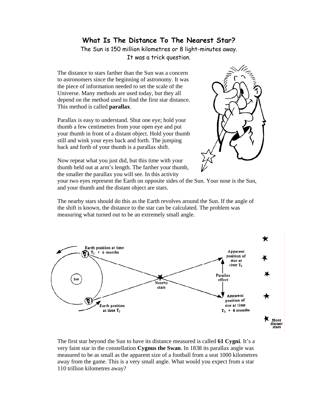### **What Is The Distance To The Nearest Star?**

The Sun is 150 million kilometres or 8 light-minutes away. It was a trick question.

The distance to stars farther than the Sun was a concern to astronomers since the beginning of astronomy. It was the piece of information needed to set the scale of the Universe. Many methods are used today, but they all depend on the method used to find the first star distance. This method is called **parallax**.

Parallax is easy to understand. Shut one eye; hold your thumb a few centimetres from your open eye and put your thumb in front of a distant object. Hold your thumb still and wink your eyes back and forth. The jumping back and forth of your thumb is a parallax shift.



Now repeat what you just did, but this time with your thumb held out at arm's length. The farther your thumb, the smaller the parallax you will see. In this activity

your two eyes represent the Earth on opposite sides of the Sun. Your nose is the Sun, and your thumb and the distant object are stars.

The nearby stars should do this as the Earth revolves around the Sun. If the angle of the shift is known, the distance to the star can be calculated. The problem was measuring what turned out to be an extremely small angle.



The first star beyond the Sun to have its distance measured is called **61 Cygni**. It's a very faint star in the constellation **Cygnus the Swan**. In 1838 its parallax angle was measured to be as small as the apparent size of a football from a seat 1000 kilometres away from the game. This is a very small angle. What would you expect from a star 110 trillion kilometres away?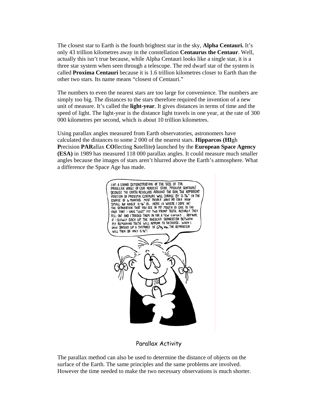The closest star to Earth is the fourth brightest star in the sky, **Alpha Centauri.** It's only 43 trillion kilometres away in the constellation **Centaurus the Centaur**. Well, actually this isn't true because, while Alpha Centauri looks like a single star, it is a three star system when seen through a telescope. The red dwarf star of the system is called **Proxima Centauri** because it is 1.6 trillion kilometres closer to Earth than the other two stars. Its name means "closest of Centauri."

The numbers to even the nearest stars are too large for convenience. The numbers are simply too big. The distances to the stars therefore required the invention of a new unit of measure. It's called the **light-year**. It gives distances in terms of time and the speed of light. The light-year is the distance light travels in one year, at the rate of 300 000 kilometres per second, which is about 10 trillion kilometres.

Using parallax angles measured from Earth observatories, astronomers have calculated the distances to some 2 000 of the nearest stars. **Hipparcos (HI**gh **P**recision **PAR**allax **CO**llecting **S**atellite**)** launched by the **European Space Agency (ESA)** in 1989 has measured 118 000 parallax angles. It could measure much smaller angles because the images of stars aren't blurred above the Earth's atmosphere. What a difference the Space Age has made.



#### Parallax Activity

The parallax method can also be used to determine the distance of objects on the surface of the Earth. The same principles and the same problems are involved. However the time needed to make the two necessary observations is much shorter.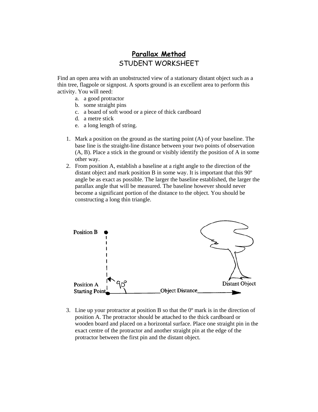# **Parallax Method** STUDENT WORKSHEET

Find an open area with an unobstructed view of a stationary distant object such as a thin tree, flagpole or signpost. A sports ground is an excellent area to perform this activity. You will need:

- a. a good protractor
- b. some straight pins
- c. a board of soft wood or a piece of thick cardboard
- d. a metre stick
- e. a long length of string.
- 1. Mark a position on the ground as the starting point (A) of your baseline. The base line is the straight-line distance between your two points of observation (A, B). Place a stick in the ground or visibly identify the position of A in some other way.
- 2. From position A, establish a baseline at a right angle to the direction of the distant object and mark position B in some way. It is important that this 90º angle be as exact as possible. The larger the baseline established, the larger the parallax angle that will be measured. The baseline however should never become a significant portion of the distance to the object. You should be constructing a long thin triangle.



3. Line up your protractor at position B so that the  $0^{\circ}$  mark is in the direction of position A. The protractor should be attached to the thick cardboard or wooden board and placed on a horizontal surface. Place one straight pin in the exact centre of the protractor and another straight pin at the edge of the protractor between the first pin and the distant object.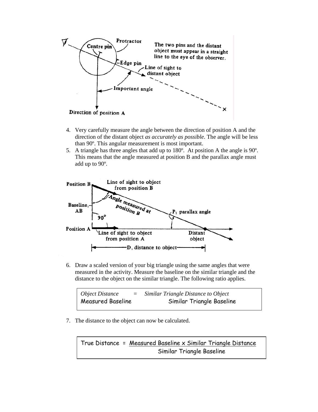

- 4. Very carefully measure the angle between the direction of position A and the direction of the distant object *as accurately as possible*. The angle will be less than 90º. This angular measurement is most important.
- 5. A triangle has three angles that add up to 180º. At position A the angle is 90º. This means that the angle measured at position B and the parallax angle must add up to 90º.



6. Draw a scaled version of your big triangle using the same angles that were measured in the activity. Measure the baseline on the similar triangle and the distance to the object on the similar triangle. The following ratio applies.

| Object Distance   | $=$ | Similar Triangle Distance to Object |
|-------------------|-----|-------------------------------------|
| Measured Baseline |     | Similar Triangle Baseline           |

7. The distance to the object can now be calculated.

True Distance = Measured Baseline x Similar Triangle Distance Similar Triangle Baseline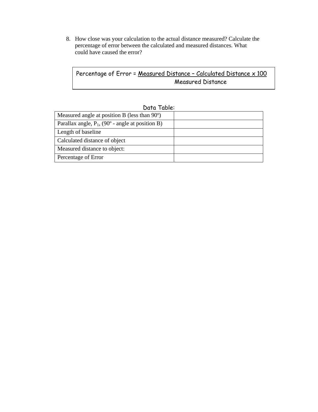8. How close was your calculation to the actual distance measured? Calculate the percentage of error between the calculated and measured distances. What could have caused the error?

### Percentage of Error = Measured Distance - Calculated Distance x 100 Measured Distance

| DUIU IUDIE.                                                  |  |
|--------------------------------------------------------------|--|
| Measured angle at position B (less than 90°)                 |  |
| Parallax angle, $P_1$ , (90 $\degree$ - angle at position B) |  |
| Length of baseline                                           |  |
| Calculated distance of object                                |  |
| Measured distance to object:                                 |  |
| Percentage of Error                                          |  |

### Data Table: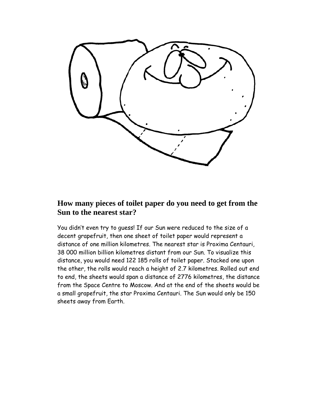

## **How many pieces of toilet paper do you need to get from the Sun to the nearest star?**

You didn't even try to guess! If our Sun were reduced to the size of a decent grapefruit, then one sheet of toilet paper would represent a distance of one million kilometres. The nearest star is Proxima Centauri, 38 000 million billion kilometres distant from our Sun. To visualize this distance, you would need 122 185 rolls of toilet paper. Stacked one upon the other, the rolls would reach a height of 2.7 kilometres. Rolled out end to end, the sheets would span a distance of 2776 kilometres, the distance from the Space Centre to Moscow. And at the end of the sheets would be a small grapefruit, the star Proxima Centauri. The Sun would only be 150 sheets away from Earth.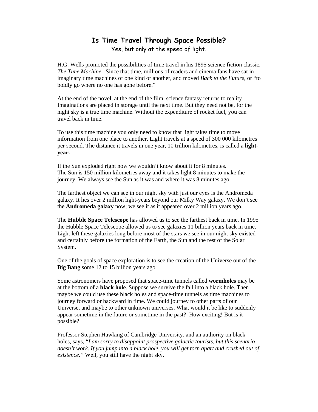#### **Is Time Travel Through Space Possible?**  Yes, but only at the speed of light.

H.G. Wells promoted the possibilities of time travel in his 1895 science fiction classic, *The Time Machine*. Since that time, millions of readers and cinema fans have sat in imaginary time machines of one kind or another, and moved *Back to the Future*, or "to boldly go where no one has gone before."

At the end of the novel, at the end of the film, science fantasy returns to reality. Imaginations are placed in storage until the next time. But they need not be, for the night sky is a true time machine. Without the expenditure of rocket fuel, you can travel back in time.

To use this time machine you only need to know that light takes time to move information from one place to another. Light travels at a speed of 300 000 kilometres per second. The distance it travels in one year, 10 trillion kilometres, is called a **lightyear.** 

If the Sun exploded right now we wouldn't know about it for 8 minutes. The Sun is 150 million kilometres away and it takes light 8 minutes to make the journey. We always see the Sun as it was and where it was 8 minutes ago.

The farthest object we can see in our night sky with just our eyes is the Andromeda galaxy. It lies over 2 million light-years beyond our Milky Way galaxy. We don't see the **Andromeda galaxy** now; we see it as it appeared over 2 million years ago.

The **Hubble Space Telescope** has allowed us to see the farthest back in time. In 1995 the Hubble Space Telescope allowed us to see galaxies 11 billion years back in time. Light left these galaxies long before most of the stars we see in our night sky existed and certainly before the formation of the Earth, the Sun and the rest of the Solar System.

One of the goals of space exploration is to see the creation of the Universe out of the **Big Bang** some 12 to 15 billion years ago.

Some astronomers have proposed that space-time tunnels called **wormholes** may be at the bottom of a **black hole**. Suppose we survive the fall into a black hole. Then maybe we could use these black holes and space-time tunnels as time machines to journey forward or backward in time. We could journey to other parts of our Universe, and maybe to other unknown universes. What would it be like to suddenly appear sometime in the future or sometime in the past? How exciting! But is it possible?

Professor Stephen Hawking of Cambridge University, and an authority on black holes, says, "*I am sorry to disappoint prospective galactic tourists, but this scenario doesn't work. If you jump into a black hole, you will get torn apart and crushed out of existence."* Well, you still have the night sky.